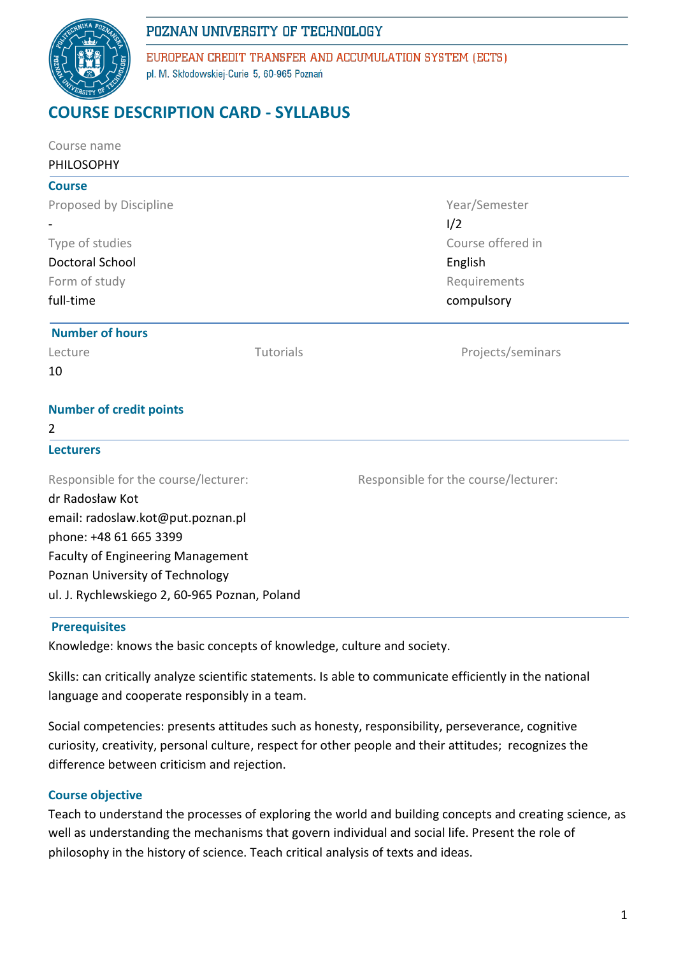# POZNAN UNIVERSITY OF TECHNOLOGY



EUROPEAN CREDIT TRANSFER AND ACCUMULATION SYSTEM (ECTS) pl. M. Skłodowskiej-Curie 5, 60-965 Poznań

# **COURSE DESCRIPTION CARD - SYLLABUS**

| Course name<br><b>PHILOSOPHY</b>              |           |                                      |  |
|-----------------------------------------------|-----------|--------------------------------------|--|
| <b>Course</b>                                 |           |                                      |  |
| Proposed by Discipline                        |           | Year/Semester                        |  |
|                                               |           | 1/2                                  |  |
| Type of studies                               |           | Course offered in                    |  |
| <b>Doctoral School</b>                        |           | English                              |  |
| Form of study                                 |           | Requirements                         |  |
| full-time                                     |           | compulsory                           |  |
| <b>Number of hours</b>                        |           |                                      |  |
| Lecture                                       | Tutorials | Projects/seminars                    |  |
| 10                                            |           |                                      |  |
| <b>Number of credit points</b>                |           |                                      |  |
| 2                                             |           |                                      |  |
| <b>Lecturers</b>                              |           |                                      |  |
| Responsible for the course/lecturer:          |           | Responsible for the course/lecturer: |  |
| dr Radosław Kot                               |           |                                      |  |
| email: radoslaw.kot@put.poznan.pl             |           |                                      |  |
| phone: +48 61 665 3399                        |           |                                      |  |
| <b>Faculty of Engineering Management</b>      |           |                                      |  |
| Poznan University of Technology               |           |                                      |  |
| ul. J. Rychlewskiego 2, 60-965 Poznan, Poland |           |                                      |  |
|                                               |           |                                      |  |

#### **Prerequisites**

Knowledge: knows the basic concepts of knowledge, culture and society.

Skills: can critically analyze scientific statements. Is able to communicate efficiently in the national language and cooperate responsibly in a team.

Social competencies: presents attitudes such as honesty, responsibility, perseverance, cognitive curiosity, creativity, personal culture, respect for other people and their attitudes; recognizes the difference between criticism and rejection.

## **Course objective**

Teach to understand the processes of exploring the world and building concepts and creating science, as well as understanding the mechanisms that govern individual and social life. Present the role of philosophy in the history of science. Teach critical analysis of texts and ideas.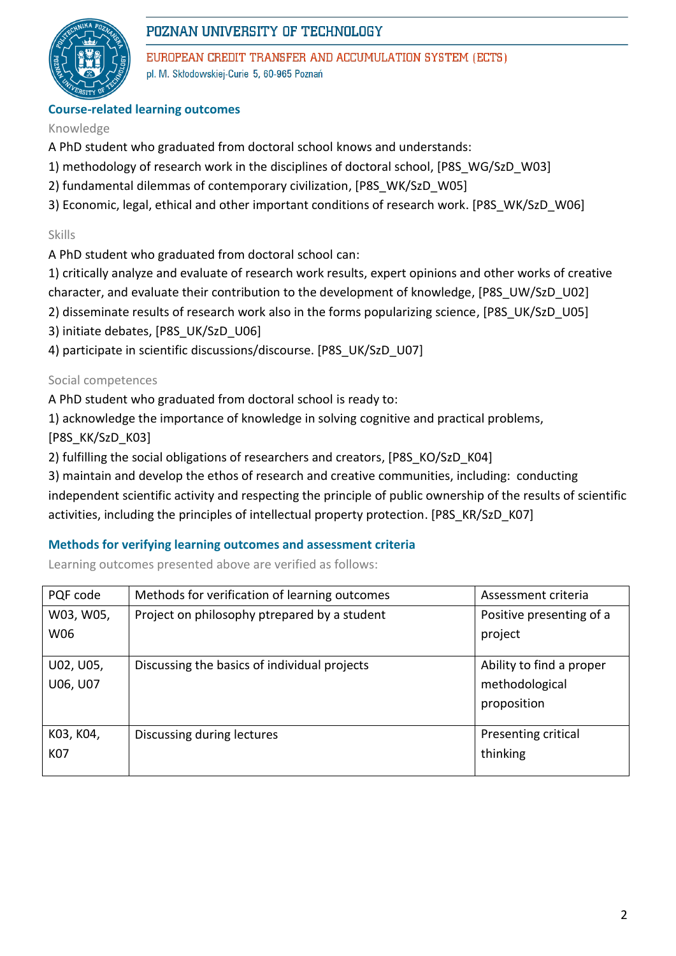

# POZNAN UNIVERSITY OF TECHNOLOGY

EUROPEAN CREDIT TRANSFER AND ACCUMULATION SYSTEM (ECTS) pl. M. Skłodowskiej-Curie 5, 60-965 Poznań

# **Course-related learning outcomes**

## Knowledge

- A PhD student who graduated from doctoral school knows and understands:
- 1) methodology of research work in the disciplines of doctoral school, [P8S\_WG/SzD\_W03]
- 2) fundamental dilemmas of contemporary civilization, [P8S\_WK/SzD\_W05]
- 3) Economic, legal, ethical and other important conditions of research work. [P8S\_WK/SzD\_W06]

# Skills

- A PhD student who graduated from doctoral school can:
- 1) critically analyze and evaluate of research work results, expert opinions and other works of creative
- character, and evaluate their contribution to the development of knowledge, [P8S\_UW/SzD\_U02]
- 2) disseminate results of research work also in the forms popularizing science, [P8S\_UK/SzD\_U05]
- 3) initiate debates, [P8S\_UK/SzD\_U06]
- 4) participate in scientific discussions/discourse. [P8S\_UK/SzD\_U07]

## Social competences

A PhD student who graduated from doctoral school is ready to:

1) acknowledge the importance of knowledge in solving cognitive and practical problems,

[P8S\_KK/SzD\_K03]

2) fulfilling the social obligations of researchers and creators, [P8S\_KO/SzD\_K04]

3) maintain and develop the ethos of research and creative communities, including: conducting independent scientific activity and respecting the principle of public ownership of the results of scientific activities, including the principles of intellectual property protection. [P8S KR/SzD K07]

## **Methods for verifying learning outcomes and assessment criteria**

Learning outcomes presented above are verified as follows:

| PQF code  | Methods for verification of learning outcomes<br>Assessment criteria |                          |
|-----------|----------------------------------------------------------------------|--------------------------|
| W03, W05, | Project on philosophy ptrepared by a student                         | Positive presenting of a |
| W06       |                                                                      | project                  |
|           |                                                                      |                          |
| U02, U05, | Discussing the basics of individual projects                         | Ability to find a proper |
| U06, U07  |                                                                      | methodological           |
|           |                                                                      | proposition              |
|           |                                                                      |                          |
| K03, K04, | Discussing during lectures                                           | Presenting critical      |
| K07       |                                                                      | thinking                 |
|           |                                                                      |                          |